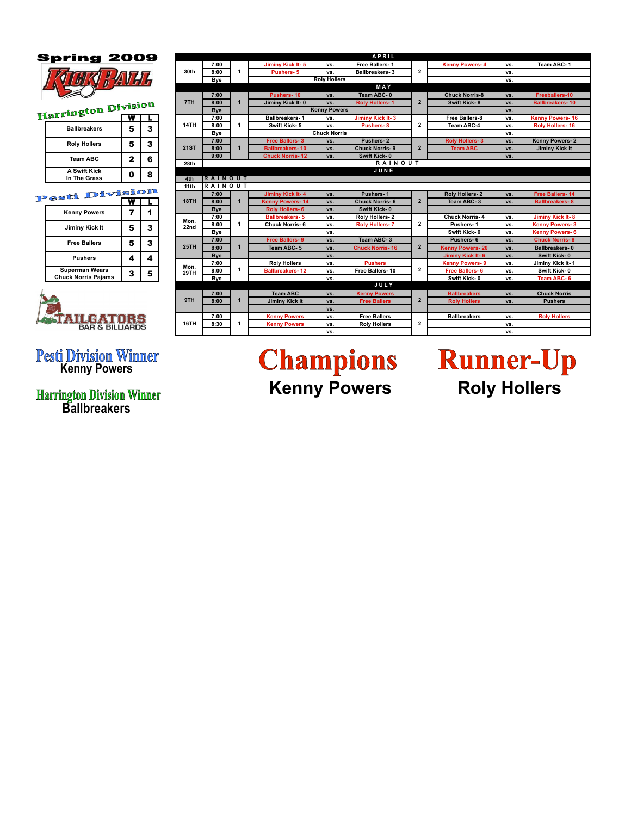### **Spring 2009**



| .                                   |   |   |  |
|-------------------------------------|---|---|--|
| <b>Ballbreakers</b>                 | 5 | 3 |  |
| <b>Roly Hollers</b>                 | 5 | 3 |  |
| <b>Team ABC</b>                     | 2 | 6 |  |
| <b>A Swift Kick</b><br>In The Grass | 0 |   |  |

#### T

| $\cos \theta =$                                     |   |   |
|-----------------------------------------------------|---|---|
| <b>Kenny Powers</b>                                 |   |   |
| Jiminy Kick It                                      | 5 | 3 |
| <b>Free Ballers</b>                                 | 5 | 3 |
| <b>Pushers</b>                                      | 4 |   |
| <b>Superman Wears</b><br><b>Chuck Norris Pajams</b> | 3 | 5 |



# **Pesti Division Winner**<br>**Kenny Powers**

**Harrington Division Winner<br>Ballbreakers** 

|                | 09  |             | APRIL            |                |                        |                         |                       |                         |                |                        |                       |                         |
|----------------|-----|-------------|------------------|----------------|------------------------|-------------------------|-----------------------|-------------------------|----------------|------------------------|-----------------------|-------------------------|
|                |     |             |                  | 7:00           |                        | Jiminy Kick It-5        | VS.                   | Free Ballers-1          |                | <b>Kenny Powers-4</b>  | VS.                   | Team ABC-1              |
|                |     | 30th        | 8:00             | 1              | Pushers-5              | VS.                     | Ballbreakers-3        | $\overline{2}$          |                | vs.                    |                       |                         |
|                |     |             |                  |                | <b>Bye</b>             |                         | <b>Roly Hollers</b>   |                         |                |                        | vs.                   |                         |
|                |     |             |                  |                |                        |                         |                       | MAY                     |                |                        |                       |                         |
|                |     |             |                  | 7:00           |                        | Pushers-10              | VS.                   | Team ABC-0              |                | <b>Chuck Norris-8</b>  | VS.                   | Freeballers-10          |
| ision          |     |             | 7TH              | 8:00           | $\mathbf 1$            | Jiminy Kick It-0        | vs.                   | <b>Roly Hollers-1</b>   | $\overline{2}$ | <b>Swift Kick-8</b>    | VS.                   | <b>Ballbreakers-10</b>  |
|                |     |             |                  | <b>Bye</b>     |                        |                         | <b>Kenny Powers</b>   |                         |                |                        | VS.                   |                         |
| w              |     |             |                  | 7:00           |                        | <b>Ballbreakers-1</b>   | VS.                   | Jiminy Kick It-3        |                | Free Ballers-8         | vs.                   | <b>Kenny Powers-16</b>  |
| 5              | 3   |             | 14TH             | 8:00           | 1                      | Swift Kick-5            | vs.                   | Pushers-8               | $\mathbf{2}$   | Team ABC-4             | VS.                   | Roly Hollers-16         |
|                |     |             |                  | Bye            |                        |                         | <b>Chuck Norris</b>   |                         |                |                        | vs.                   |                         |
| 5              | 3   |             |                  | 7:00           |                        | Free Ballers-3          | vs.                   | Pushers-2               |                | <b>Roly Hollers-3</b>  | VS.                   | Kenny Powers-2          |
|                |     |             | <b>21ST</b>      | 8:00           | $\mathbf 1$            | <b>Ballbreakers-10</b>  | VS.                   | <b>Chuck Norris-9</b>   | $\overline{2}$ | <b>Team ABC</b>        | VS.                   | <b>Jiminy Kick It</b>   |
| $\overline{2}$ | 6   |             | 9:00             |                | <b>Chuck Norris-12</b> | vs.                     | Swift Kick-0          |                         |                | VS.                    |                       |                         |
|                |     |             | 28th             |                |                        |                         |                       | <b>RAINOUT</b>          |                |                        |                       |                         |
| 0              | 8   |             |                  |                |                        |                         |                       | JUNE                    |                |                        |                       |                         |
|                |     |             | 4th              | <b>RAINOUT</b> |                        |                         |                       |                         |                |                        |                       |                         |
|                |     |             | 11 <sub>th</sub> | <b>RAINOUT</b> |                        |                         |                       |                         |                |                        |                       |                         |
|                | iom |             |                  | 7:00           |                        | <b>Jiminy Kick It-4</b> | VS.                   | Pushers-1               |                | Roly Hollers-2         | VS.                   | <b>Free Ballers-14</b>  |
| w              |     |             | 18TH             | 8:00           | $\mathbf{1}$           | <b>Kenny Powers-14</b>  | vs.                   | <b>Chuck Norris-6</b>   | $\mathbf{2}$   | Team ABC-3             | VS.                   | <b>Ballbreakers-8</b>   |
| 7              | 1   |             |                  | Bye            |                        | <b>Rolv Hollers-6</b>   | VS.                   | Swift Kick-0            |                |                        |                       |                         |
|                |     |             | Mon.             | 7:00           |                        | <b>Ballbreakers-5</b>   | VS.                   | Roly Hollers-2          |                | <b>Chuck Norris-4</b>  | vs.                   | <b>Jiminy Kick It-8</b> |
| 5              | 3   | 22nd        | 8:00             | 1              | <b>Chuck Norris-6</b>  | VS.                     | <b>Roly Hollers-7</b> | $\overline{\mathbf{c}}$ | Pushers-1      | vs.                    | <b>Kenny Powers-3</b> |                         |
|                |     |             |                  | Bye            |                        |                         | vs.                   |                         |                | Swift Kick-0           | vs.                   | <b>Kenny Powers-6</b>   |
| 5              | 3   |             |                  | 7:00           | $\mathbf{1}$           | Free Ballers-9          | vs.                   | Team ABC-3              |                | Pushers-6              | VS.                   | <b>Chuck Norris-8</b>   |
|                |     | <b>25TH</b> |                  | 8:00           |                        | Team ABC-5              | VS.                   | <b>Chuck Norris-16</b>  | $\overline{2}$ | <b>Kenny Powers-20</b> | VS.                   | Ballbreakers-0          |
| 4              | 4   |             |                  | <b>Bye</b>     |                        |                         | VS.                   |                         |                | Jiminy Kick It-6       | VS.                   | Swift Kick-0            |
|                |     |             | Mon.             | 7:00           |                        | <b>Roly Hollers</b>     | VS.                   | <b>Pushers</b>          |                | <b>Kenny Powers-9</b>  | VS.                   | Jiminy Kick It-1        |
| 3              | 5   |             | 29TH             | 8:00           | 1                      | <b>Ballbreakers-12</b>  | VS.                   | Free Ballers-10         | 2              | <b>Free Ballers-6</b>  | VS.                   | Swift Kick-0            |
|                |     |             | Bye              |                |                        | vs.                     |                       |                         | Swift Kick-0   | VS.                    | Team ABC-6            |                         |
|                |     |             |                  |                |                        |                         |                       | <b>JULY</b>             |                |                        |                       |                         |
|                |     |             | 9TH              | 7:00           | $\mathbf{1}$           | <b>Team ABC</b>         | VS.                   | <b>Kenny Powers</b>     |                | <b>Ballbreakers</b>    | VS.                   | <b>Chuck Norris</b>     |
|                |     |             |                  | 8:00           |                        | <b>Jiminy Kick It</b>   | VS.                   | <b>Free Ballers</b>     | $\overline{2}$ | <b>Roly Hollers</b>    | VS.                   | <b>Pushers</b>          |
|                |     |             |                  |                |                        |                         | VS.                   |                         |                |                        |                       |                         |
|                |     |             |                  | 7:00           |                        | <b>Kenny Powers</b>     | VS.                   | <b>Free Ballers</b>     |                | <b>Ballbreakers</b>    | VS.                   | <b>Roly Hollers</b>     |
| rs<br>RS       |     |             | 16TH             | 8:30           | 1                      | <b>Kenny Powers</b>     | VS.                   | <b>Roly Hollers</b>     | 2              |                        | VS.                   |                         |
|                |     |             |                  |                |                        |                         | VS.                   |                         |                |                        | VS.                   |                         |

## **Champions Kenny Powers**